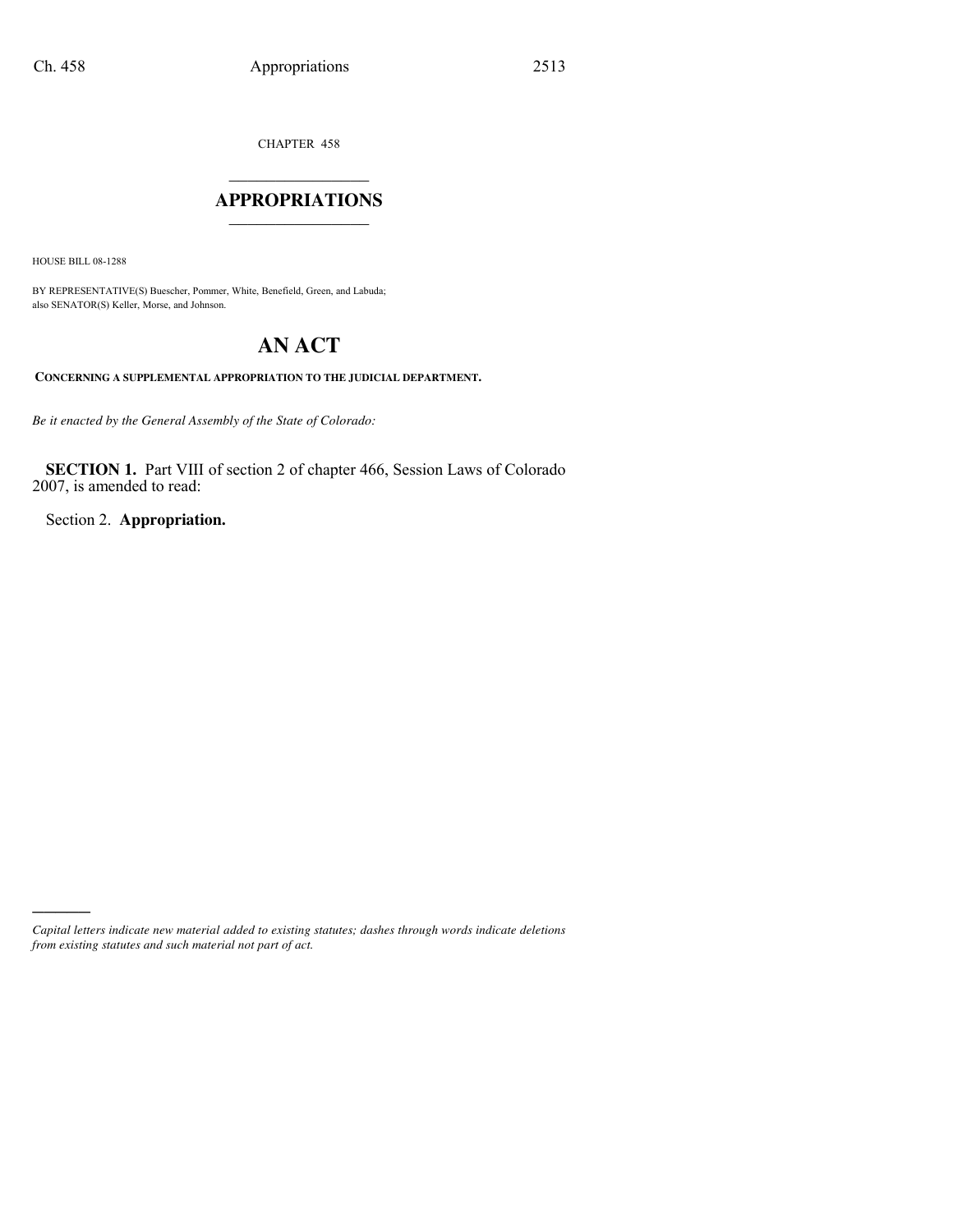CHAPTER 458

### $\mathcal{L}_\text{max}$  , where  $\mathcal{L}_\text{max}$ **APPROPRIATIONS** \_\_\_\_\_\_\_\_\_\_\_\_\_\_\_

HOUSE BILL 08-1288

)))))

BY REPRESENTATIVE(S) Buescher, Pommer, White, Benefield, Green, and Labuda; also SENATOR(S) Keller, Morse, and Johnson.

# **AN ACT**

**CONCERNING A SUPPLEMENTAL APPROPRIATION TO THE JUDICIAL DEPARTMENT.**

*Be it enacted by the General Assembly of the State of Colorado:*

**SECTION 1.** Part VIII of section 2 of chapter 466, Session Laws of Colorado 2007, is amended to read:

Section 2. **Appropriation.**

*Capital letters indicate new material added to existing statutes; dashes through words indicate deletions from existing statutes and such material not part of act.*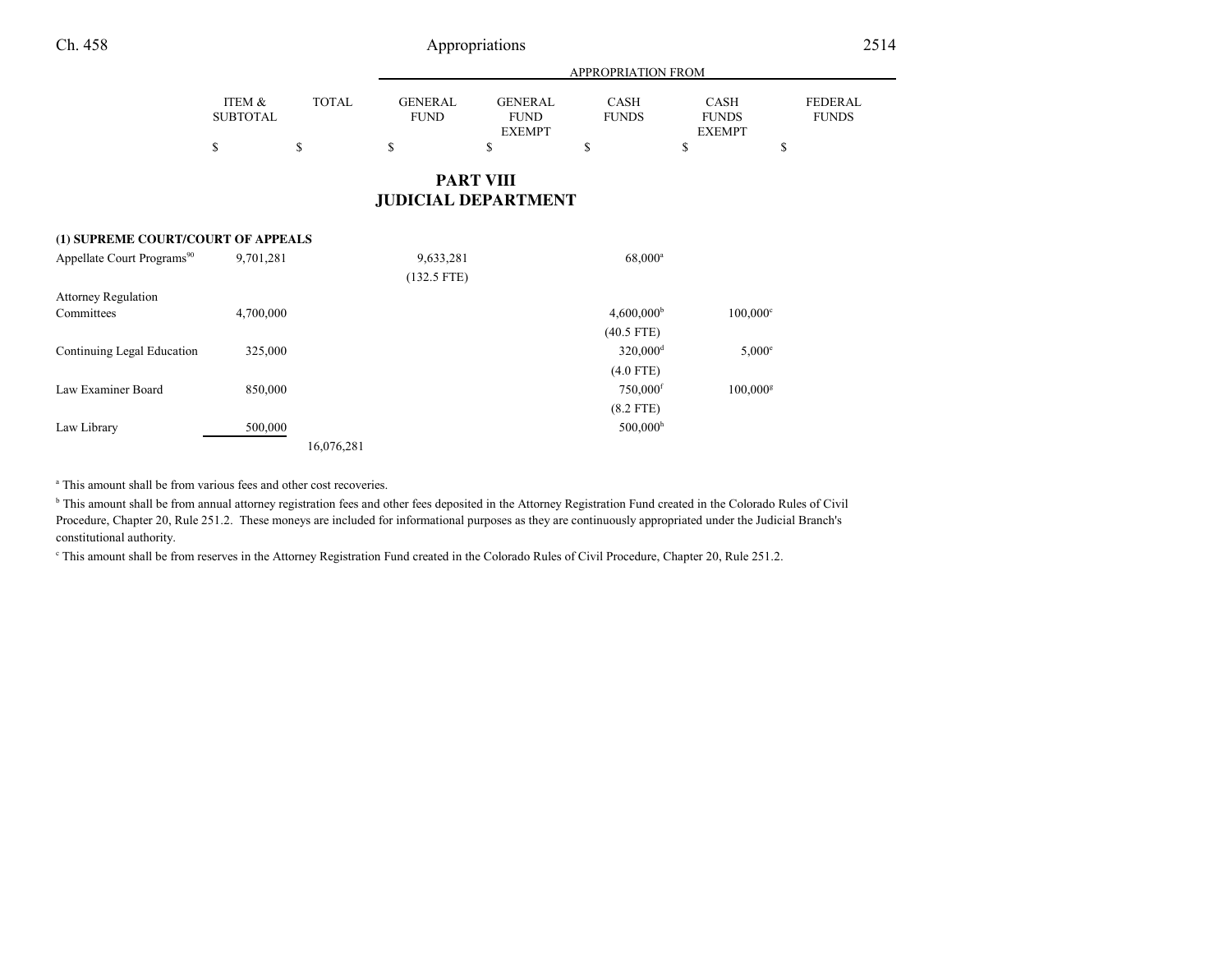|                 |       | APPROPRIATION FROM |               |              |               |                |
|-----------------|-------|--------------------|---------------|--------------|---------------|----------------|
| ITEM &          | TOTAL | GENERAL            | GENERAL       | <b>CASH</b>  | <b>CASH</b>   | <b>FEDERAL</b> |
| <b>SUBTOTAL</b> |       | <b>FUND</b>        | <b>FUND</b>   | <b>FUNDS</b> | <b>FUNDS</b>  | <b>FUNDS</b>   |
|                 |       |                    | <b>EXEMPT</b> |              | <b>EXEMPT</b> |                |
| \$              |       |                    |               |              |               |                |
|                 |       |                    |               |              |               |                |

### **PART VIIIJUDICIAL DEPARTMENT**

#### **(1) SUPREME COURT/COURT OF APPEALS**

| Appellate Court Programs <sup>90</sup> | 9,701,281 | 9,633,281     | $68,000^a$               |                        |
|----------------------------------------|-----------|---------------|--------------------------|------------------------|
|                                        |           | $(132.5$ FTE) |                          |                        |
| <b>Attorney Regulation</b>             |           |               |                          |                        |
| Committees                             | 4,700,000 |               | $4,600,000$ <sup>b</sup> | $100,000^{\circ}$      |
|                                        |           |               | $(40.5$ FTE)             |                        |
| Continuing Legal Education             | 325,000   |               | $320,000$ <sup>d</sup>   | $5,000^{\circ}$        |
|                                        |           |               | $(4.0$ FTE)              |                        |
| Law Examiner Board                     | 850,000   |               | $750,000$ <sup>f</sup>   | $100,000$ <sup>g</sup> |
|                                        |           |               | $(8.2$ FTE)              |                        |
| Law Library                            | 500,000   |               | $500,000$ <sup>h</sup>   |                        |
|                                        |           | 16,076,281    |                          |                        |

<sup>a</sup> This amount shall be from various fees and other cost recoveries.

<sup>b</sup> This amount shall be from annual attorney registration fees and other fees deposited in the Attorney Registration Fund created in the Colorado Rules of Civil Procedure, Chapter 20, Rule 251.2. These moneys are included for informational purposes as they are continuously appropriated under the Judicial Branch'sconstitutional authority.

c This amount shall be from reserves in the Attorney Registration Fund created in the Colorado Rules of Civil Procedure, Chapter 20, Rule 251.2.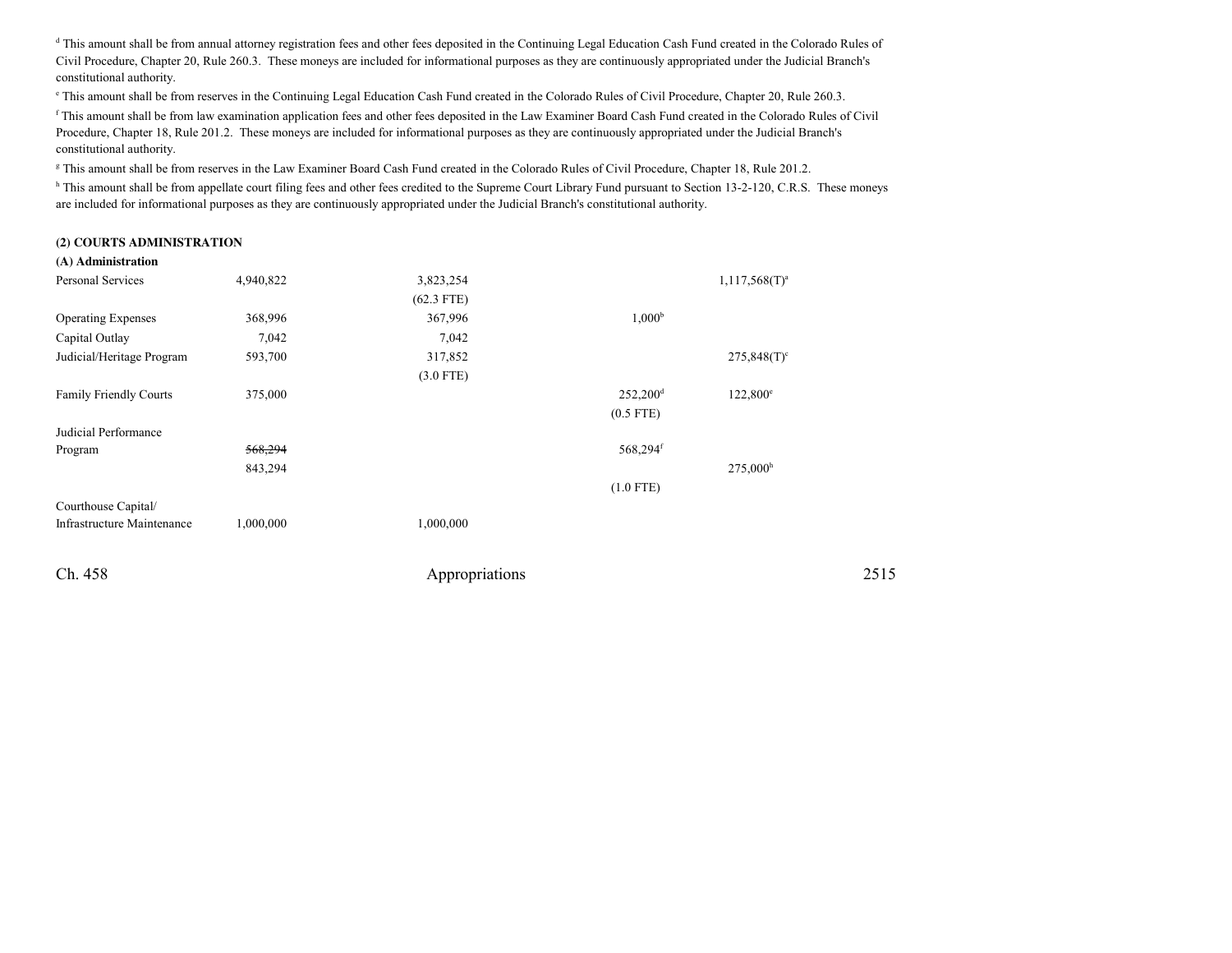<sup>d</sup> This amount shall be from annual attorney registration fees and other fees deposited in the Continuing Legal Education Cash Fund created in the Colorado Rules of Civil Procedure, Chapter 20, Rule 260.3. These moneys are included for informational purposes as they are continuously appropriated under the Judicial Branch'sconstitutional authority.

e This amount shall be from reserves in the Continuing Legal Education Cash Fund created in the Colorado Rules of Civil Procedure, Chapter 20, Rule 260.3.

<sup>f</sup> This amount shall be from law examination application fees and other fees deposited in the Law Examiner Board Cash Fund created in the Colorado Rules of CivilProcedure, Chapter 18, Rule 201.2. These moneys are included for informational purposes as they are continuously appropriated under the Judicial Branch'sconstitutional authority.

<sup>g</sup> This amount shall be from reserves in the Law Examiner Board Cash Fund created in the Colorado Rules of Civil Procedure, Chapter 18, Rule 201.2.

h This amount shall be from appellate court filing fees and other fees credited to the Supreme Court Library Fund pursuant to Section 13-2-120, C.R.S. These moneys are included for informational purposes as they are continuously appropriated under the Judicial Branch's constitutional authority.

#### **(2) COURTS ADMINISTRATION**

| (A) Administration         |           |                |                        |                           |      |
|----------------------------|-----------|----------------|------------------------|---------------------------|------|
| Personal Services          | 4,940,822 | 3,823,254      |                        | $1,117,568(T)^a$          |      |
|                            |           | $(62.3$ FTE)   |                        |                           |      |
| <b>Operating Expenses</b>  | 368,996   | 367,996        | 1,000 <sup>b</sup>     |                           |      |
| Capital Outlay             | 7,042     | 7,042          |                        |                           |      |
| Judicial/Heritage Program  | 593,700   | 317,852        |                        | $275,848(T)$ <sup>c</sup> |      |
|                            |           | $(3.0$ FTE)    |                        |                           |      |
| Family Friendly Courts     | 375,000   |                | $252,200$ <sup>d</sup> | $122,800^{\circ}$         |      |
|                            |           |                | $(0.5$ FTE)            |                           |      |
| Judicial Performance       |           |                |                        |                           |      |
| Program                    | 568,294   |                | 568,294f               |                           |      |
|                            | 843,294   |                |                        | $275,000^{\rm h}$         |      |
|                            |           |                | $(1.0$ FTE)            |                           |      |
| Courthouse Capital/        |           |                |                        |                           |      |
| Infrastructure Maintenance | 1,000,000 | 1,000,000      |                        |                           |      |
|                            |           |                |                        |                           |      |
| Ch. 458                    |           | Appropriations |                        |                           | 2515 |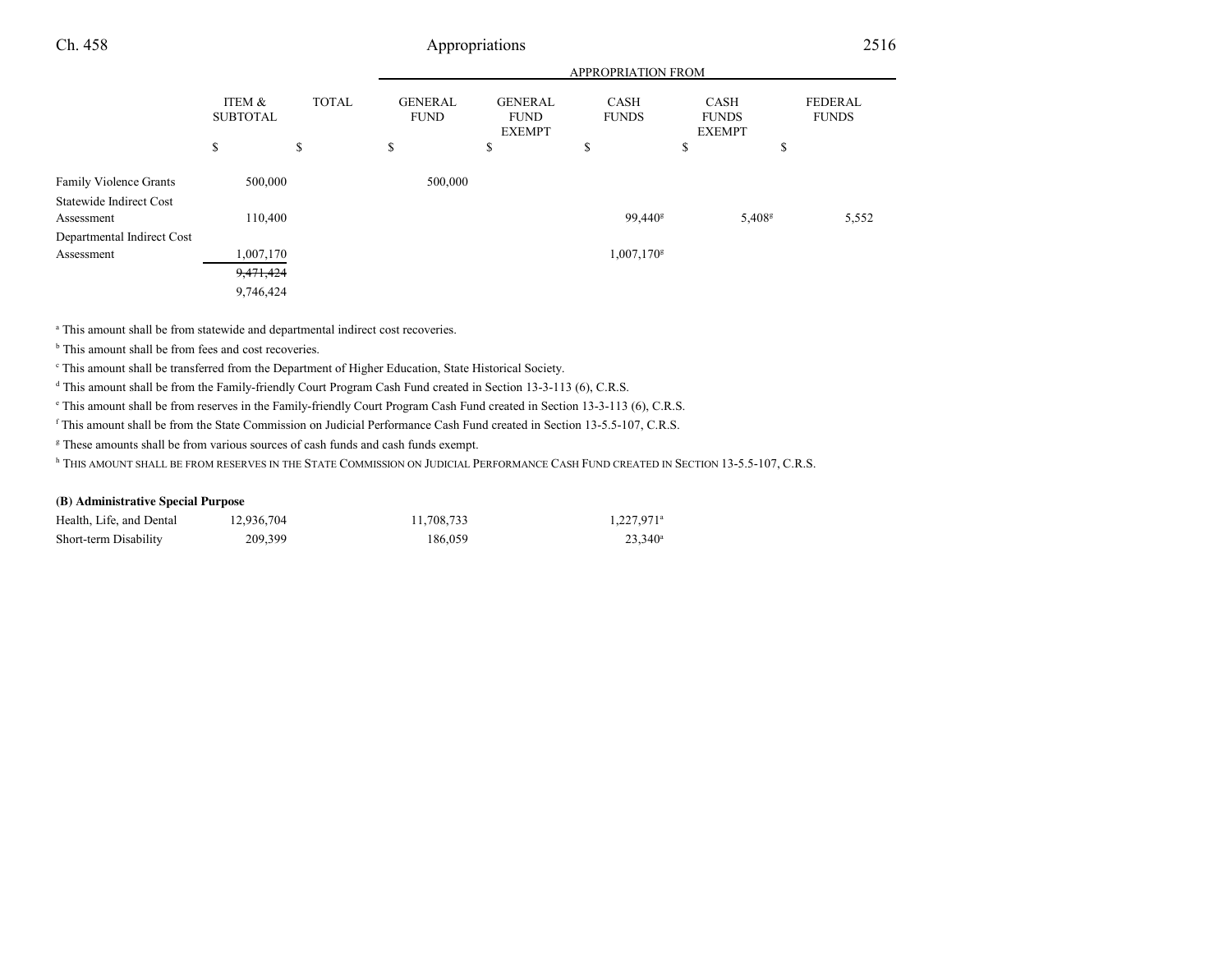|                                          |                                      |              |                               |                                                | <b>APPROPRIATION FROM</b>   |                                              |                                |
|------------------------------------------|--------------------------------------|--------------|-------------------------------|------------------------------------------------|-----------------------------|----------------------------------------------|--------------------------------|
|                                          | <b>ITEM &amp;</b><br><b>SUBTOTAL</b> | <b>TOTAL</b> | <b>GENERAL</b><br><b>FUND</b> | <b>GENERAL</b><br><b>FUND</b><br><b>EXEMPT</b> | <b>CASH</b><br><b>FUNDS</b> | <b>CASH</b><br><b>FUNDS</b><br><b>EXEMPT</b> | <b>FEDERAL</b><br><b>FUNDS</b> |
|                                          | \$                                   | \$           | \$                            | \$                                             | \$                          | \$                                           | \$                             |
| <b>Family Violence Grants</b>            | 500,000                              |              | 500,000                       |                                                |                             |                                              |                                |
| Statewide Indirect Cost<br>Assessment    | 110,400                              |              |                               |                                                | 99,440 <sup>g</sup>         | 5,408 <sup>s</sup>                           | 5,552                          |
| Departmental Indirect Cost<br>Assessment | ,007,170                             |              |                               |                                                | 1,007,170 <sup>g</sup>      |                                              |                                |
|                                          | 9,471,424<br>9,746,424               |              |                               |                                                |                             |                                              |                                |

<sup>a</sup> This amount shall be from statewide and departmental indirect cost recoveries.

<sup>b</sup> This amount shall be from fees and cost recoveries.

c This amount shall be transferred from the Department of Higher Education, State Historical Society.

<sup>d</sup> This amount shall be from the Family-friendly Court Program Cash Fund created in Section 13-3-113 (6), C.R.S.

e This amount shall be from reserves in the Family-friendly Court Program Cash Fund created in Section 13-3-113 (6), C.R.S.

<sup>f</sup> This amount shall be from the State Commission on Judicial Performance Cash Fund created in Section 13-5.5-107, C.R.S.

<sup>g</sup> These amounts shall be from various sources of cash funds and cash funds exempt.

<sup>h</sup> THIS AMOUNT SHALL BE FROM RESERVES IN THE STATE COMMISSION ON JUDICIAL PERFORMANCE CASH FUND CREATED IN SECTION 13-5.5-107, C.R.S.

#### **(B) Administrative Special Purpose**

| Health, Life, and Dental | 12,936,704 | 11,708,733 | $1,227,971$ <sup>a</sup> |
|--------------------------|------------|------------|--------------------------|
| Short-term Disability    | 209,399    | 186,059    | $23.340^{\circ}$         |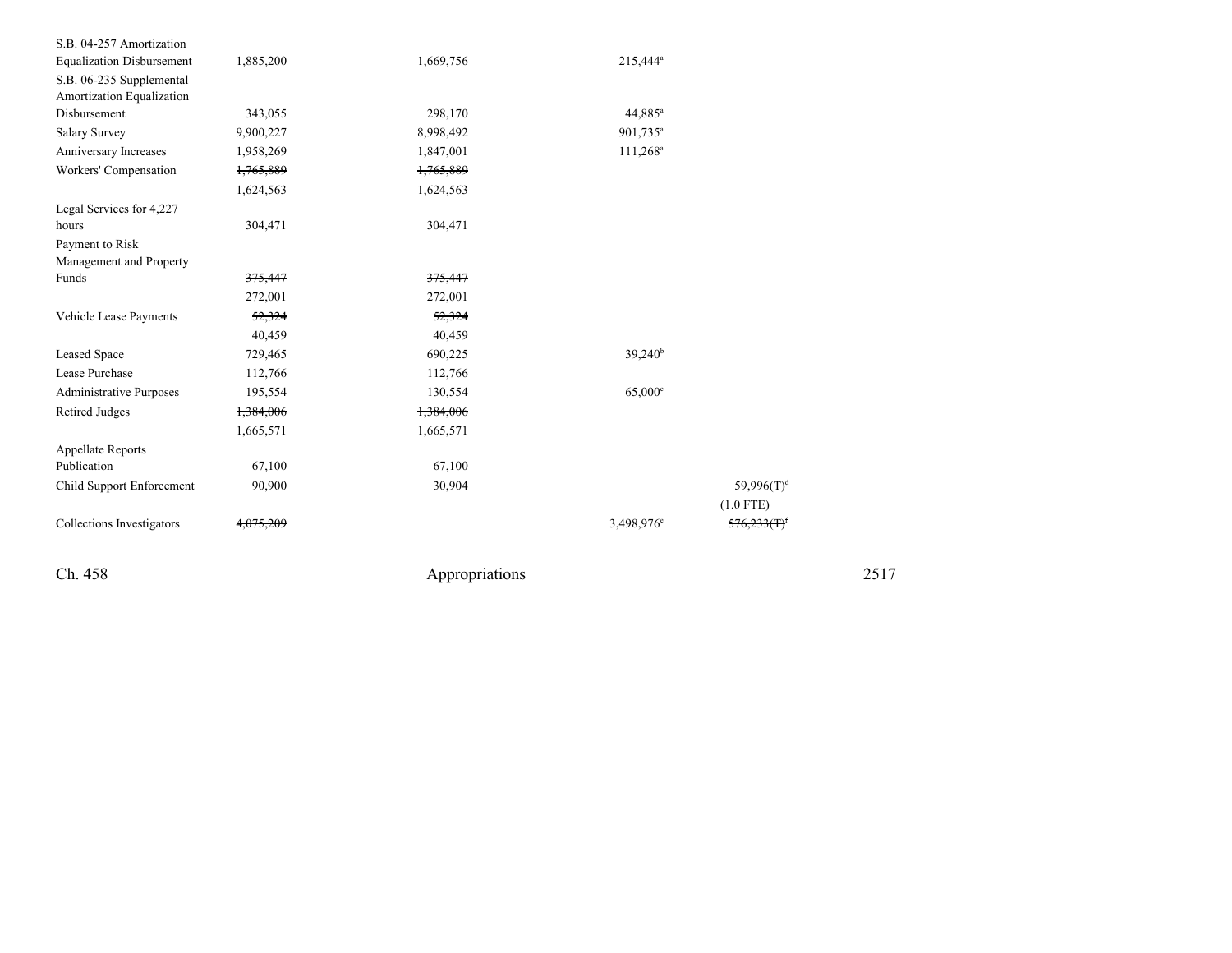| S.B. 04-257 Amortization         |                      |           |                        |                |  |
|----------------------------------|----------------------|-----------|------------------------|----------------|--|
| <b>Equalization Disbursement</b> | 1,885,200            | 1,669,756 | 215,444 <sup>a</sup>   |                |  |
| S.B. 06-235 Supplemental         |                      |           |                        |                |  |
| Amortization Equalization        |                      |           |                        |                |  |
| Disbursement                     | 343,055              | 298,170   | 44,885 <sup>a</sup>    |                |  |
| Salary Survey                    | 9,900,227            | 8,998,492 | 901,735 <sup>a</sup>   |                |  |
| Anniversary Increases            | 1,958,269            | 1,847,001 | $111,268^a$            |                |  |
| Workers' Compensation            | 1,765,889            | 1,765,889 |                        |                |  |
|                                  | 1,624,563            | 1,624,563 |                        |                |  |
| Legal Services for 4,227         |                      |           |                        |                |  |
| hours                            | 304,471              | 304,471   |                        |                |  |
| Payment to Risk                  |                      |           |                        |                |  |
| Management and Property          |                      |           |                        |                |  |
| Funds                            | 375,447              | 375,447   |                        |                |  |
|                                  | 272,001              | 272,001   |                        |                |  |
| Vehicle Lease Payments           | 52,324               | 52,324    |                        |                |  |
|                                  | 40,459               | 40,459    |                        |                |  |
| Leased Space                     | 729,465              | 690,225   | $39,240^{\rm b}$       |                |  |
| Lease Purchase                   | 112,766              | 112,766   |                        |                |  |
| <b>Administrative Purposes</b>   | 195,554              | 130,554   | $65,000$ c             |                |  |
| <b>Retired Judges</b>            | 1,384,006            | 1,384,006 |                        |                |  |
|                                  | 1,665,571            | 1,665,571 |                        |                |  |
| <b>Appellate Reports</b>         |                      |           |                        |                |  |
| Publication                      | 67,100               | 67,100    |                        |                |  |
| Child Support Enforcement        | 90,900               | 30,904    |                        | 59,996 $(T)^d$ |  |
|                                  |                      |           |                        | $(1.0$ FTE)    |  |
| Collections Investigators        | <del>4.075.209</del> |           | 3,498,976 <sup>e</sup> | 576,233(T)     |  |
|                                  |                      |           |                        |                |  |

Ch. 458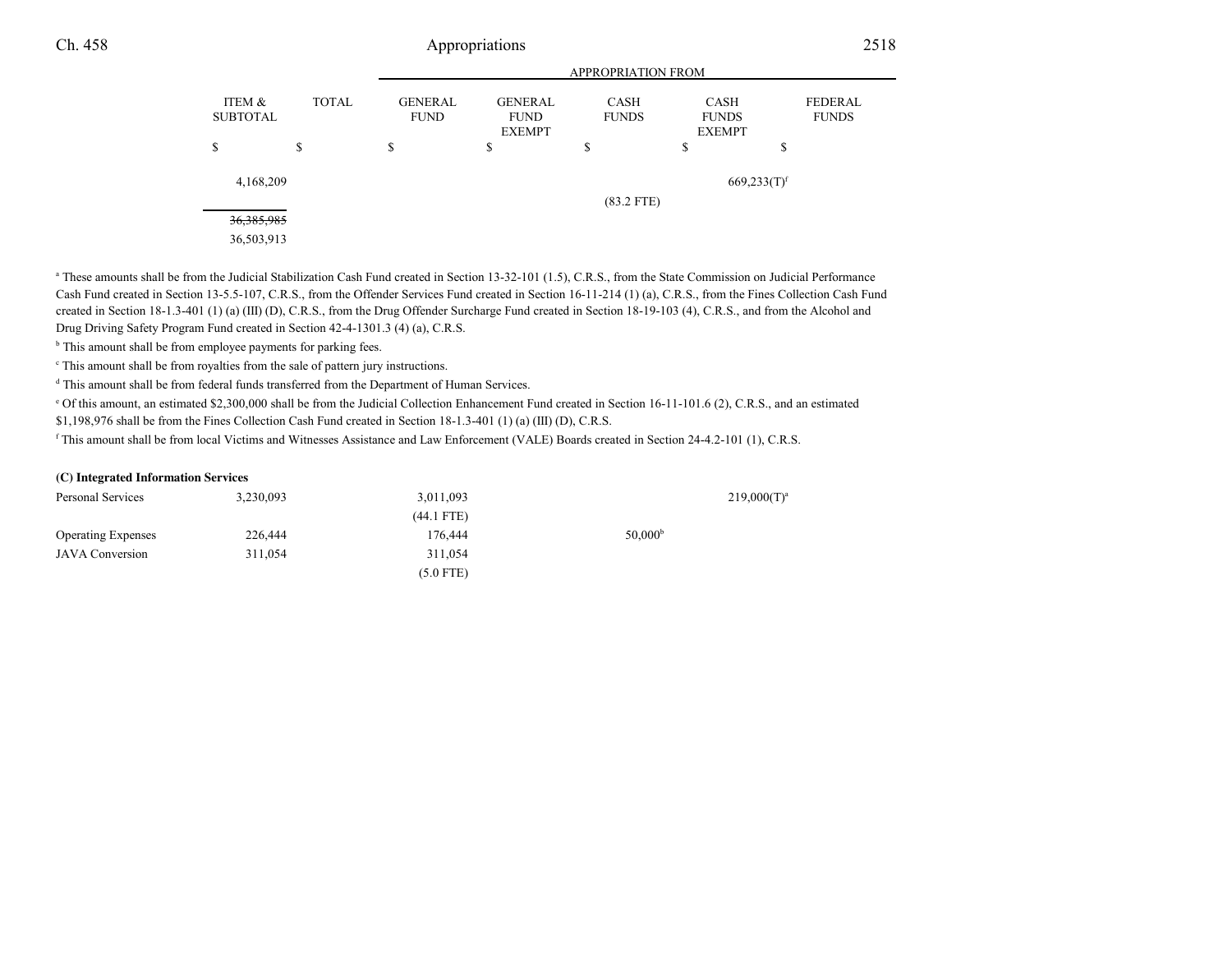|                                      |              |                               | <b>APPROPRIATION FROM</b>                      |                             |                                              |                         |
|--------------------------------------|--------------|-------------------------------|------------------------------------------------|-----------------------------|----------------------------------------------|-------------------------|
| <b>ITEM &amp;</b><br><b>SUBTOTAL</b> | <b>TOTAL</b> | <b>GENERAL</b><br><b>FUND</b> | <b>GENERAL</b><br><b>FUND</b><br><b>EXEMPT</b> | <b>CASH</b><br><b>FUNDS</b> | <b>CASH</b><br><b>FUNDS</b><br><b>EXEMPT</b> | FEDERAL<br><b>FUNDS</b> |
| \$                                   | \$           | \$                            | \$                                             | \$                          | \$                                           | Φ<br>P                  |
| 4,168,209                            |              |                               |                                                | $(83.2$ FTE)                | $669,233(T)$ <sup>f</sup>                    |                         |
| 36, 385, 985<br>36,503,913           |              |                               |                                                |                             |                                              |                         |

<sup>a</sup> These amounts shall be from the Judicial Stabilization Cash Fund created in Section 13-32-101 (1.5), C.R.S., from the State Commission on Judicial Performance Cash Fund created in Section 13-5.5-107, C.R.S., from the Offender Services Fund created in Section 16-11-214 (1) (a), C.R.S., from the Fines Collection Cash Fundcreated in Section 18-1.3-401 (1) (a) (III) (D), C.R.S., from the Drug Offender Surcharge Fund created in Section 18-19-103 (4), C.R.S., and from the Alcohol andDrug Driving Safety Program Fund created in Section 42-4-1301.3 (4) (a), C.R.S.

<sup>b</sup> This amount shall be from employee payments for parking fees.

c This amount shall be from royalties from the sale of pattern jury instructions.

<sup>d</sup> This amount shall be from federal funds transferred from the Department of Human Services.

 $^{\circ}$  Of this amount, an estimated \$2,300,000 shall be from the Judicial Collection Enhancement Fund created in Section 16-11-101.6 (2), C.R.S., and an estimated \$1,198,976 shall be from the Fines Collection Cash Fund created in Section 18-1.3-401 (1) (a) (III) (D), C.R.S.

<sup>f</sup> This amount shall be from local Victims and Witnesses Assistance and Law Enforcement (VALE) Boards created in Section 24-4.2-101 (1), C.R.S.

#### **(C) Integrated Information Services**

| Personal Services         | 3,230,093 | 3,011,093    |                     | $219,000(T)^a$ |
|---------------------------|-----------|--------------|---------------------|----------------|
|                           |           | $(44.1$ FTE) |                     |                |
| <b>Operating Expenses</b> | 226,444   | 176.444      | 50,000 <sup>b</sup> |                |
| <b>JAVA</b> Conversion    | 311,054   | 311.054      |                     |                |
|                           |           | $(5.0$ FTE)  |                     |                |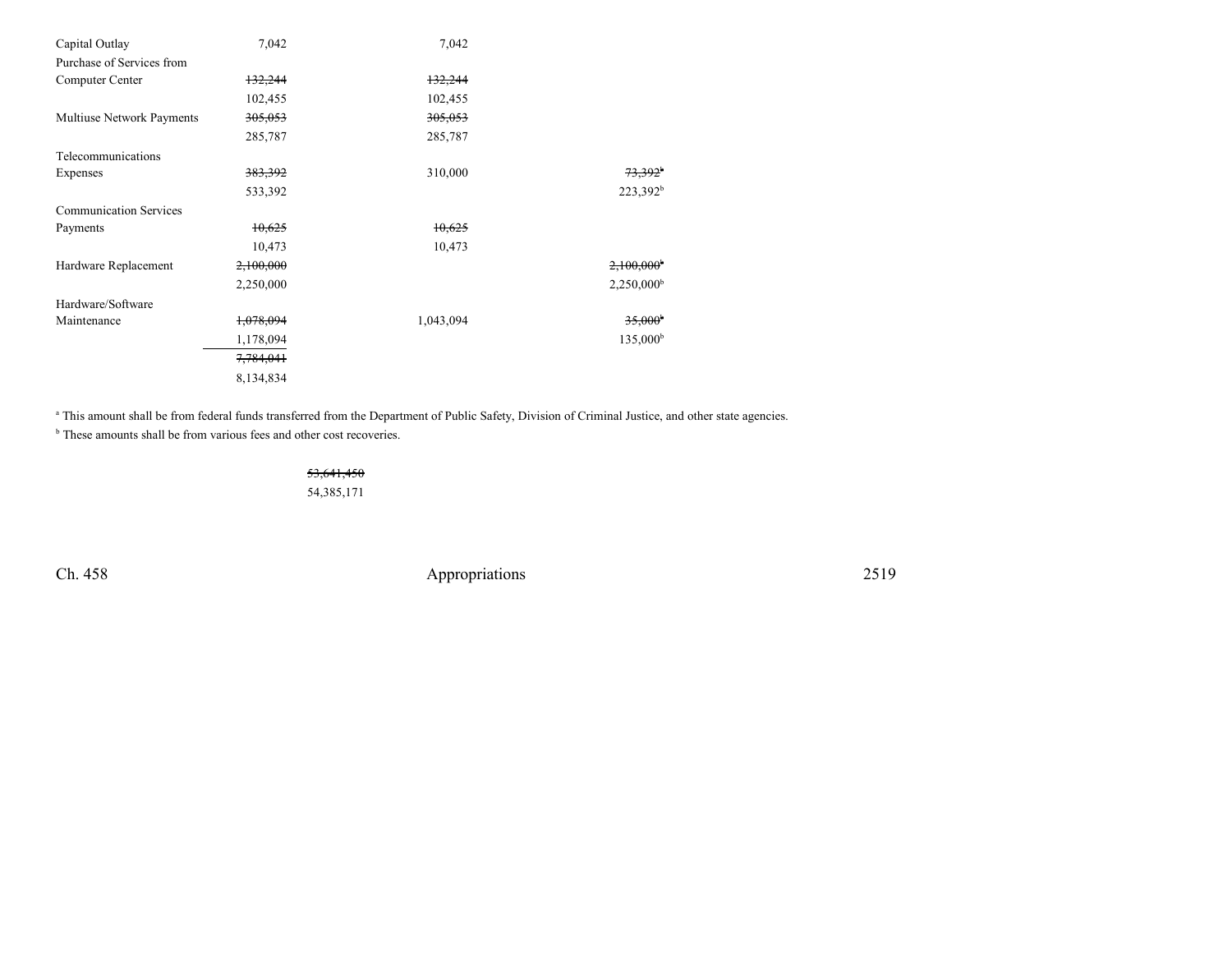| Capital Outlay                | 7,042     | 7,042     |                          |
|-------------------------------|-----------|-----------|--------------------------|
| Purchase of Services from     |           |           |                          |
| Computer Center               | 132,244   | 132,244   |                          |
|                               | 102,455   | 102,455   |                          |
| Multiuse Network Payments     | 305,053   | 305,053   |                          |
|                               | 285,787   | 285,787   |                          |
| Telecommunications            |           |           |                          |
| Expenses                      | 383,392   | 310,000   | $73.392^{\circ}$         |
|                               | 533,392   |           | 223,392 <sup>b</sup>     |
| <b>Communication Services</b> |           |           |                          |
| Payments                      | 10,625    | 10,625    |                          |
|                               | 10,473    | 10,473    |                          |
| Hardware Replacement          | 2,100,000 |           | $2,100,000$ <sup>b</sup> |
|                               | 2,250,000 |           | 2,250,000 <sup>b</sup>   |
| Hardware/Software             |           |           |                          |
| Maintenance                   | 1,078,094 | 1,043,094 | 35,000 <sup>b</sup>      |
|                               | 1,178,094 |           | $135,000^{\rm b}$        |
|                               | 7,784,041 |           |                          |
|                               | 8,134,834 |           |                          |

a This amount shall be from federal funds transferred from the Department of Public Safety, Division of Criminal Justice, and other state agencies.

<sup>b</sup> These amounts shall be from various fees and other cost recoveries.

53,641,45054,385,171

Ch. 458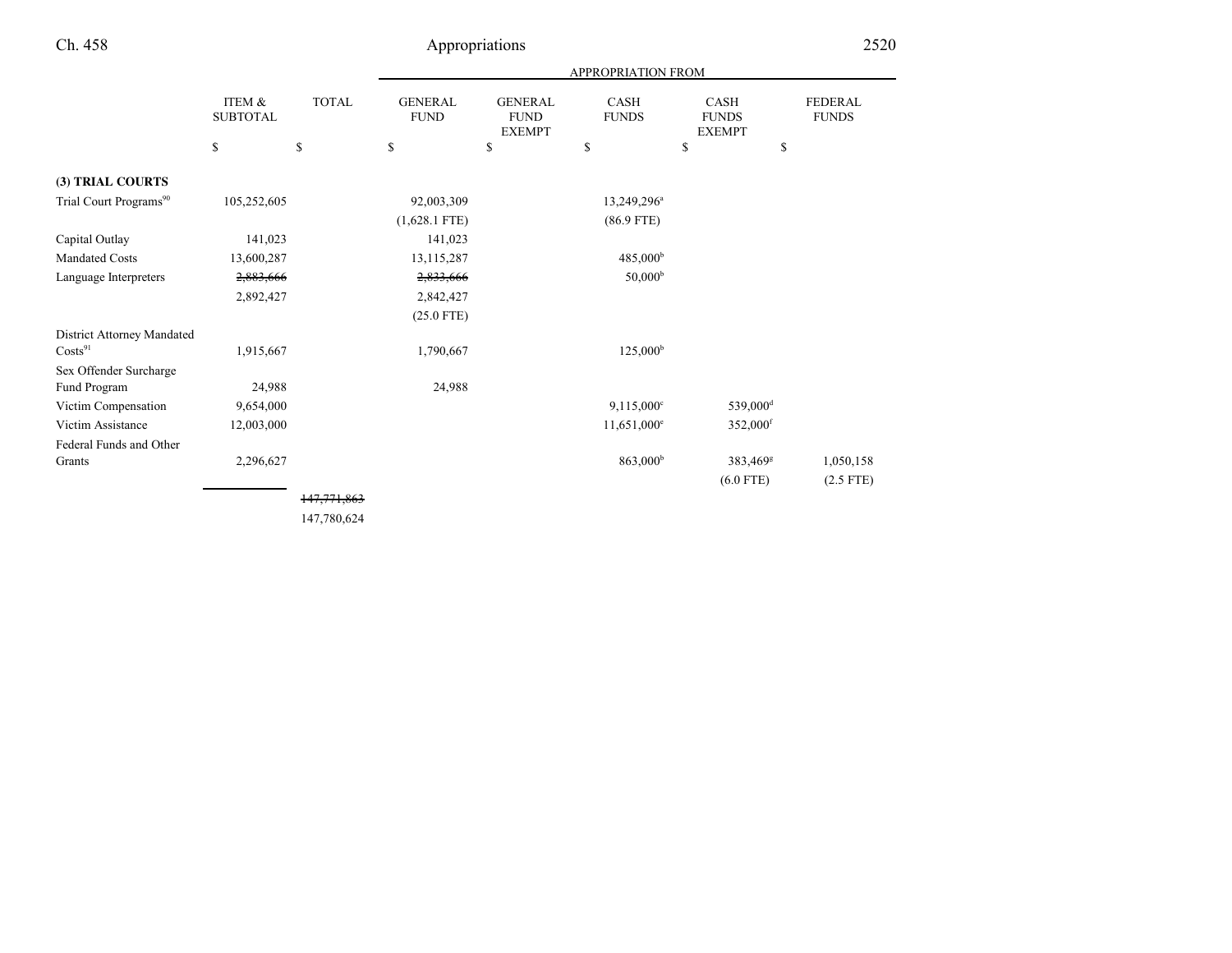|                                    |                           |              |                               |                                                | <b>APPROPRIATION FROM</b>   |                                       |                                |
|------------------------------------|---------------------------|--------------|-------------------------------|------------------------------------------------|-----------------------------|---------------------------------------|--------------------------------|
|                                    | ITEM &<br><b>SUBTOTAL</b> | <b>TOTAL</b> | <b>GENERAL</b><br><b>FUND</b> | <b>GENERAL</b><br><b>FUND</b><br><b>EXEMPT</b> | <b>CASH</b><br><b>FUNDS</b> | CASH<br><b>FUNDS</b><br><b>EXEMPT</b> | <b>FEDERAL</b><br><b>FUNDS</b> |
|                                    | \$                        | $\mathbb{S}$ | \$                            | \$                                             | \$                          | \$                                    | \$                             |
| (3) TRIAL COURTS                   |                           |              |                               |                                                |                             |                                       |                                |
| Trial Court Programs <sup>90</sup> | 105,252,605               |              | 92,003,309                    |                                                | 13,249,296 <sup>a</sup>     |                                       |                                |
|                                    |                           |              | $(1,628.1$ FTE)               |                                                | $(86.9$ FTE)                |                                       |                                |
| Capital Outlay                     | 141,023                   |              | 141,023                       |                                                |                             |                                       |                                |
| <b>Mandated Costs</b>              | 13,600,287                |              | 13, 115, 287                  |                                                | 485,000 <sup>b</sup>        |                                       |                                |
| Language Interpreters              | 2,883,666                 |              | 2,833,666                     |                                                | 50,000 <sup>b</sup>         |                                       |                                |
|                                    | 2,892,427                 |              | 2,842,427                     |                                                |                             |                                       |                                |
|                                    |                           |              | $(25.0$ FTE)                  |                                                |                             |                                       |                                |
| District Attorney Mandated         |                           |              |                               |                                                |                             |                                       |                                |
| Costs <sup>91</sup>                | 1,915,667                 |              | 1,790,667                     |                                                | $125,000^{\rm b}$           |                                       |                                |
| Sex Offender Surcharge             |                           |              |                               |                                                |                             |                                       |                                |
| Fund Program                       | 24,988                    |              | 24,988                        |                                                |                             |                                       |                                |
| Victim Compensation                | 9,654,000                 |              |                               |                                                | $9,115,000^{\circ}$         | 539,000 <sup>d</sup>                  |                                |
| Victim Assistance                  | 12,003,000                |              |                               |                                                | $11,651,000^e$              | 352,000 <sup>f</sup>                  |                                |
| Federal Funds and Other            |                           |              |                               |                                                |                             |                                       |                                |
| Grants                             | 2,296,627                 |              |                               |                                                | 863,000 <sup>b</sup>        | 383,469 <sup>g</sup>                  | 1,050,158                      |
|                                    |                           |              |                               |                                                |                             | $(6.0$ FTE)                           | $(2.5$ FTE)                    |
|                                    |                           | 147,771,863  |                               |                                                |                             |                                       |                                |

147,780,624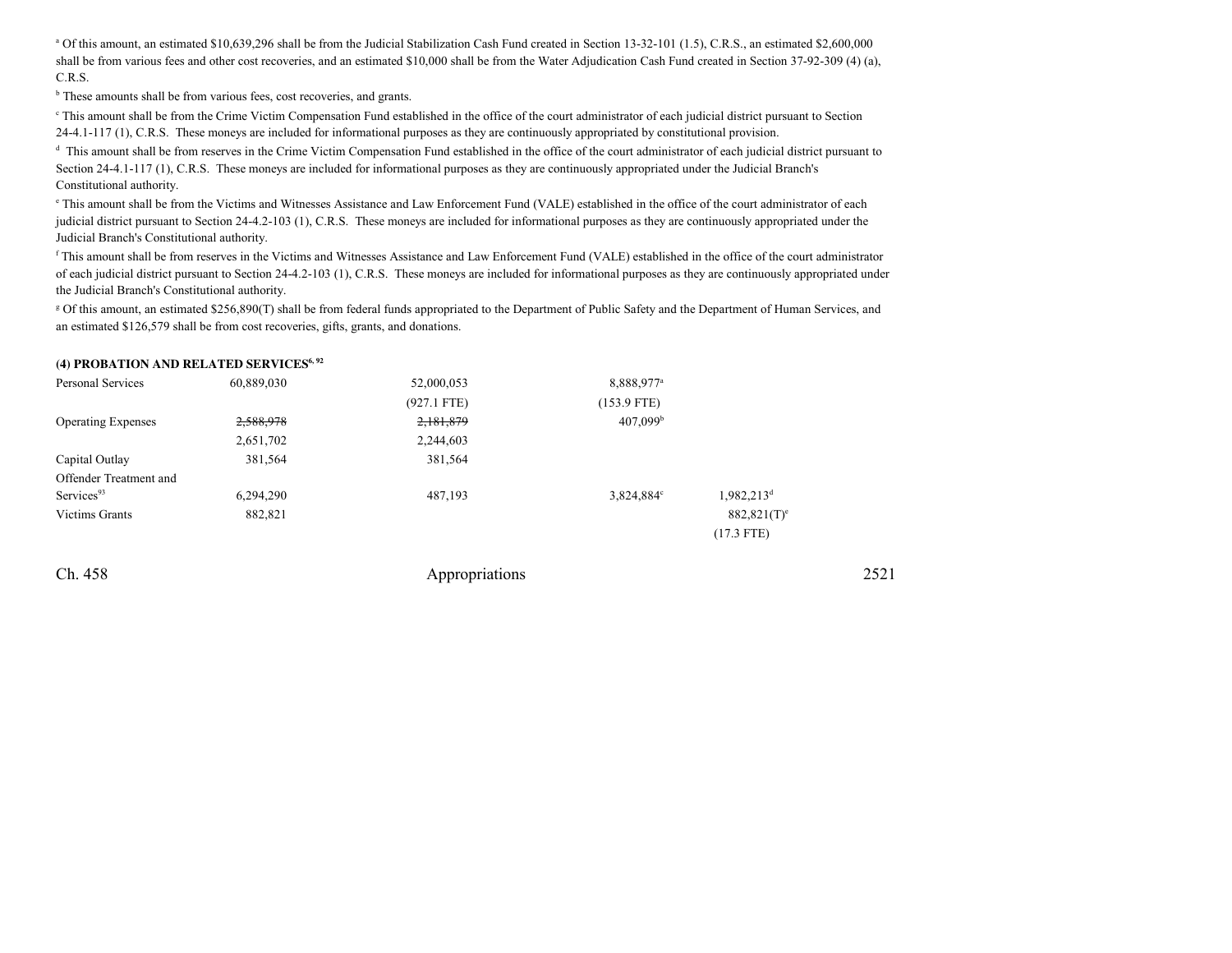<sup>a</sup> Of this amount, an estimated \$10,639,296 shall be from the Judicial Stabilization Cash Fund created in Section 13-32-101 (1.5), C.R.S., an estimated \$2,600,000 shall be from various fees and other cost recoveries, and an estimated \$10,000 shall be from the Water Adjudication Cash Fund created in Section 37-92-309 (4) (a), C.R.S.

<sup>b</sup> These amounts shall be from various fees, cost recoveries, and grants.

<sup>e</sup> This amount shall be from the Crime Victim Compensation Fund established in the office of the court administrator of each judicial district pursuant to Section 24-4.1-117 (1), C.R.S. These moneys are included for informational purposes as they are continuously appropriated by constitutional provision.

<sup>d</sup> This amount shall be from reserves in the Crime Victim Compensation Fund established in the office of the court administrator of each judicial district pursuant to Section 24-4.1-117 (1), C.R.S. These moneys are included for informational purposes as they are continuously appropriated under the Judicial Branch's Constitutional authority.

e This amount shall be from the Victims and Witnesses Assistance and Law Enforcement Fund (VALE) established in the office of the court administrator of each judicial district pursuant to Section 24-4.2-103 (1), C.R.S. These moneys are included for informational purposes as they are continuously appropriated under theJudicial Branch's Constitutional authority.

<sup>f</sup> This amount shall be from reserves in the Victims and Witnesses Assistance and Law Enforcement Fund (VALE) established in the office of the court administrator of each judicial district pursuant to Section 24-4.2-103 (1), C.R.S. These moneys are included for informational purposes as they are continuously appropriated underthe Judicial Branch's Constitutional authority.

g Of this amount, an estimated \$256,890(T) shall be from federal funds appropriated to the Department of Public Safety and the Department of Human Services, andan estimated \$126,579 shall be from cost recoveries, gifts, grants, and donations.

#### **(4) PROBATION AND RELATED SERVICES6, 92**

| Personal Services         | 60,889,030 | 52,000,053    | 8,888,977 <sup>a</sup> |                           |
|---------------------------|------------|---------------|------------------------|---------------------------|
|                           |            | $(927.1$ FTE) | $(153.9$ FTE)          |                           |
| <b>Operating Expenses</b> | 2,588,978  | 2,181,879     | 407.099 <sup>b</sup>   |                           |
|                           | 2,651,702  | 2,244,603     |                        |                           |
| Capital Outlay            | 381,564    | 381,564       |                        |                           |
| Offender Treatment and    |            |               |                        |                           |
| Services <sup>93</sup>    | 6,294,290  | 487,193       | 3,824,884°             | $1,982,213^d$             |
| <b>Victims Grants</b>     | 882,821    |               |                        | $882,821(T)$ <sup>e</sup> |
|                           |            |               |                        | $(17.3$ FTE)              |
|                           |            |               |                        |                           |

Ch. 458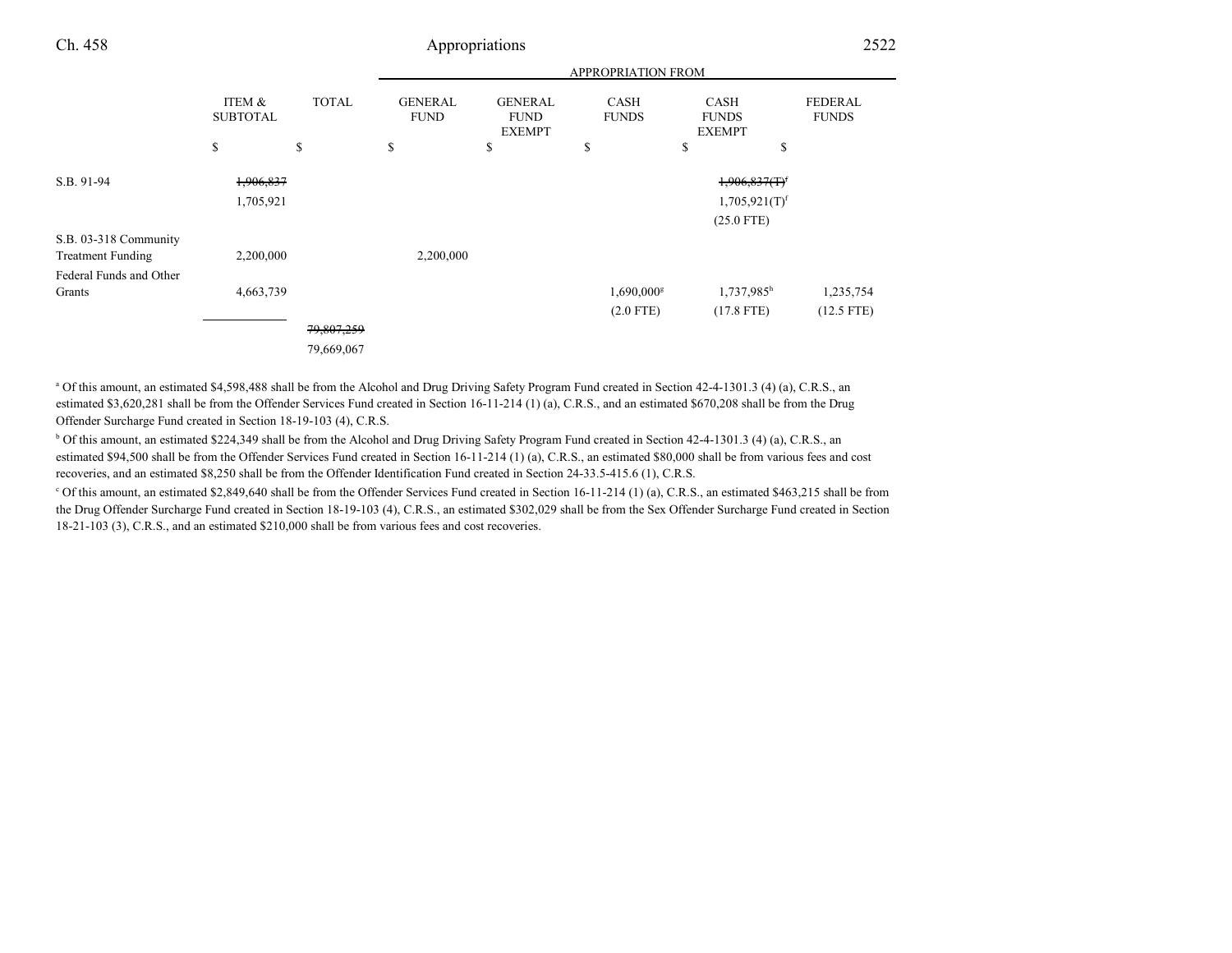|                          |                                            |                    |                                     |                                                      | <b>APPROPRIATION FROM</b>         |                                                   |                                |
|--------------------------|--------------------------------------------|--------------------|-------------------------------------|------------------------------------------------------|-----------------------------------|---------------------------------------------------|--------------------------------|
|                          | <b>ITEM &amp;</b><br><b>SUBTOTAL</b><br>\$ | <b>TOTAL</b><br>\$ | <b>GENERAL</b><br><b>FUND</b><br>\$ | <b>GENERAL</b><br><b>FUND</b><br><b>EXEMPT</b><br>\$ | <b>CASH</b><br><b>FUNDS</b><br>\$ | CASH<br><b>FUNDS</b><br><b>EXEMPT</b><br>\$<br>\$ | <b>FEDERAL</b><br><b>FUNDS</b> |
|                          |                                            |                    |                                     |                                                      |                                   |                                                   |                                |
| S.B. 91-94               | 1,906,837                                  |                    |                                     |                                                      |                                   | $1,906,837(T)^f$                                  |                                |
|                          | 1,705,921                                  |                    |                                     |                                                      |                                   | 1,705,921(T) <sup>f</sup>                         |                                |
|                          |                                            |                    |                                     |                                                      |                                   | $(25.0$ FTE)                                      |                                |
| S.B. 03-318 Community    |                                            |                    |                                     |                                                      |                                   |                                                   |                                |
| <b>Treatment Funding</b> | 2,200,000                                  |                    | 2,200,000                           |                                                      |                                   |                                                   |                                |
| Federal Funds and Other  |                                            |                    |                                     |                                                      |                                   |                                                   |                                |
| Grants                   | 4,663,739                                  |                    |                                     |                                                      | $1,690,000$ <sup>g</sup>          | $1,737,985$ <sup>h</sup>                          | 1,235,754                      |
|                          |                                            |                    |                                     |                                                      | $(2.0$ FTE)                       | $(17.8$ FTE)                                      | $(12.5$ FTE)                   |
|                          |                                            | 79,807,259         |                                     |                                                      |                                   |                                                   |                                |
|                          |                                            | 79,669,067         |                                     |                                                      |                                   |                                                   |                                |

<sup>a</sup> Of this amount, an estimated \$4,598,488 shall be from the Alcohol and Drug Driving Safety Program Fund created in Section 42-4-1301.3 (4) (a), C.R.S., an estimated \$3,620,281 shall be from the Offender Services Fund created in Section 16-11-214 (1) (a), C.R.S., and an estimated \$670,208 shall be from the Drug Offender Surcharge Fund created in Section 18-19-103 (4), C.R.S.

b Of this amount, an estimated \$224,349 shall be from the Alcohol and Drug Driving Safety Program Fund created in Section 42-4-1301.3 (4) (a), C.R.S., anestimated \$94,500 shall be from the Offender Services Fund created in Section 16-11-214 (1) (a), C.R.S., an estimated \$80,000 shall be from various fees and cost recoveries, and an estimated \$8,250 shall be from the Offender Identification Fund created in Section 24-33.5-415.6 (1), C.R.S.

c Of this amount, an estimated \$2,849,640 shall be from the Offender Services Fund created in Section 16-11-214 (1) (a), C.R.S., an estimated \$463,215 shall be from the Drug Offender Surcharge Fund created in Section 18-19-103 (4), C.R.S., an estimated \$302,029 shall be from the Sex Offender Surcharge Fund created in Section18-21-103 (3), C.R.S., and an estimated \$210,000 shall be from various fees and cost recoveries.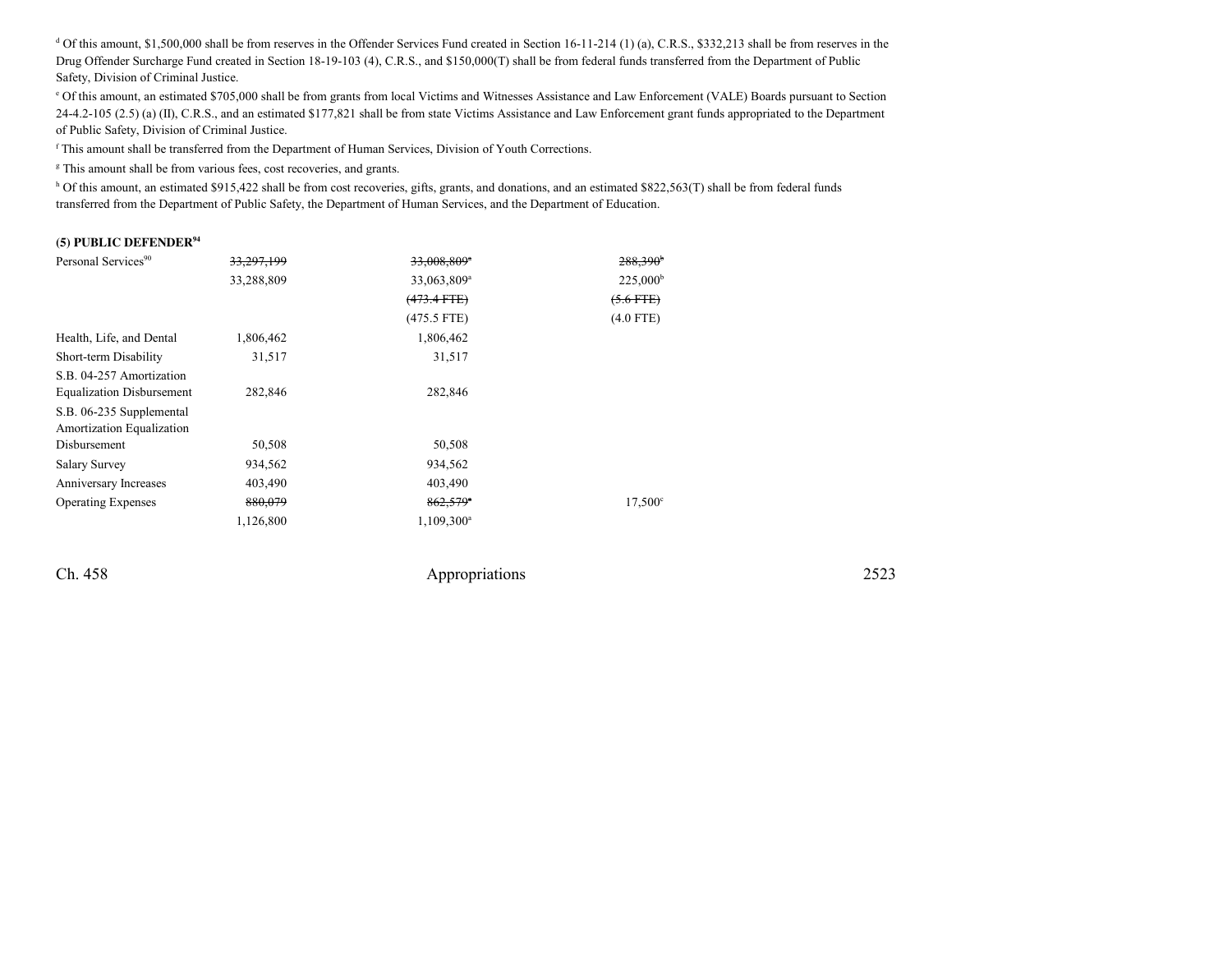$d$  Of this amount, \$1,500,000 shall be from reserves in the Offender Services Fund created in Section 16-11-214 (1) (a), C.R.S., \$332,213 shall be from reserves in the Drug Offender Surcharge Fund created in Section 18-19-103 (4), C.R.S., and \$150,000(T) shall be from federal funds transferred from the Department of Public Safety, Division of Criminal Justice.

e Of this amount, an estimated \$705,000 shall be from grants from local Victims and Witnesses Assistance and Law Enforcement (VALE) Boards pursuant to Section24-4.2-105 (2.5) (a) (II), C.R.S., and an estimated \$177,821 shall be from state Victims Assistance and Law Enforcement grant funds appropriated to the Department of Public Safety, Division of Criminal Justice.

<sup>f</sup> This amount shall be transferred from the Department of Human Services, Division of Youth Corrections.

<sup>g</sup> This amount shall be from various fees, cost recoveries, and grants.

h Of this amount, an estimated \$915,422 shall be from cost recoveries, gifts, grants, and donations, and an estimated \$822,563(T) shall be from federal funds transferred from the Department of Public Safety, the Department of Human Services, and the Department of Education.

#### **(5) PUBLIC DEFENDER<sup>94</sup>**

| Personal Services <sup>90</sup>                       | 33,297,199 | 33,008,809*             | $288,390^{\circ}$   |
|-------------------------------------------------------|------------|-------------------------|---------------------|
|                                                       | 33,288,809 | 33,063,809 <sup>a</sup> | $225,000^{\rm b}$   |
|                                                       |            | $(473.4$ FTE $)$        | $(5.6$ FTE)         |
|                                                       |            | $(475.5$ FTE)           | $(4.0$ FTE)         |
| Health, Life, and Dental                              | 1,806,462  | 1,806,462               |                     |
| Short-term Disability                                 | 31,517     | 31,517                  |                     |
| S.B. 04-257 Amortization                              |            |                         |                     |
| <b>Equalization Disbursement</b>                      | 282,846    | 282,846                 |                     |
| S.B. 06-235 Supplemental<br>Amortization Equalization |            |                         |                     |
| Disbursement                                          | 50,508     | 50,508                  |                     |
| Salary Survey                                         | 934,562    | 934,562                 |                     |
| Anniversary Increases                                 | 403,490    | 403,490                 |                     |
| <b>Operating Expenses</b>                             | 880,079    | $862,579$ <sup>*</sup>  | 17.500 <sup>c</sup> |
|                                                       | 1,126,800  | $1,109,300^a$           |                     |

Ch. 458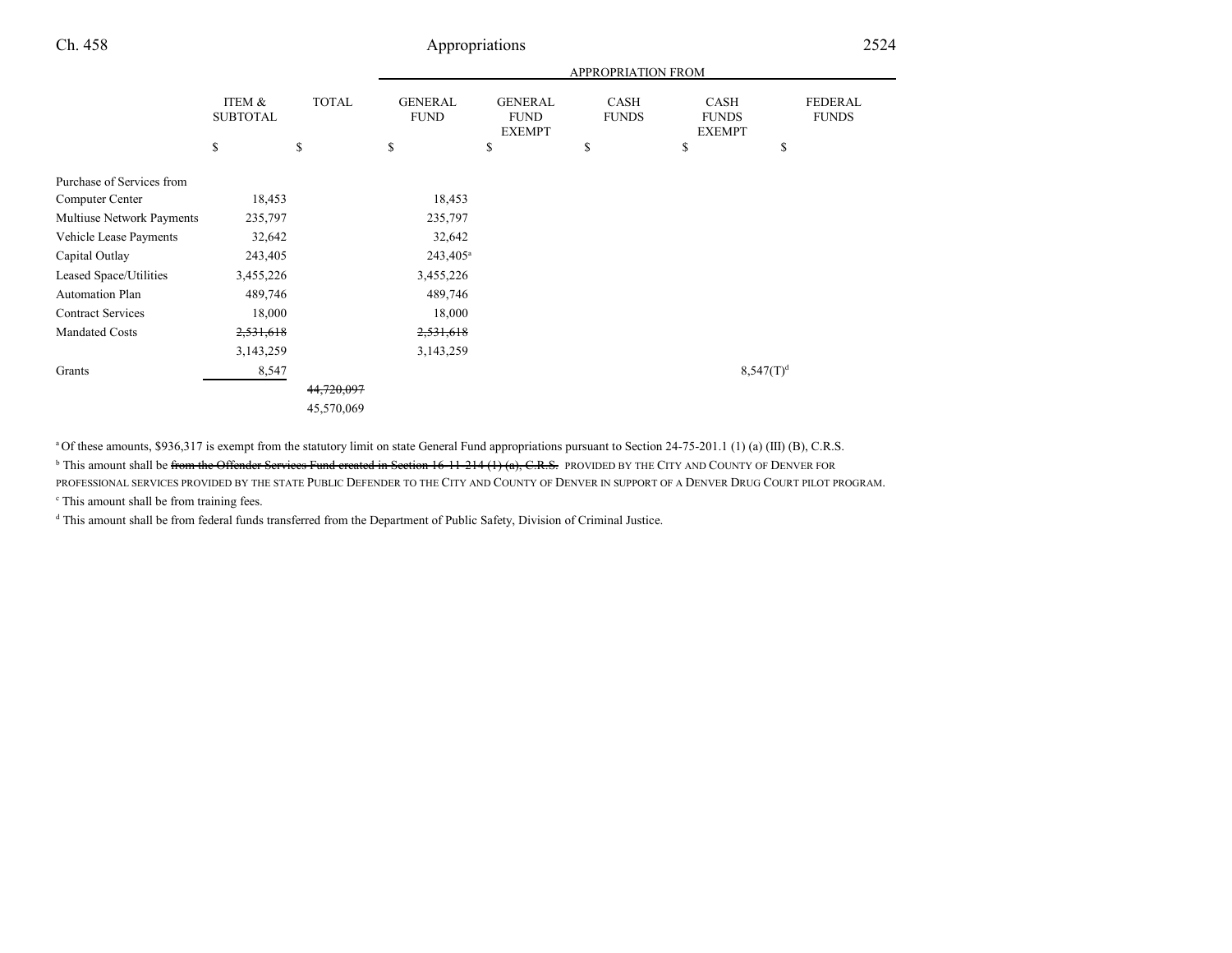|                           |                                      |              |                               |                                                | <b>APPROPRIATION FROM</b>   |                                              |                                |
|---------------------------|--------------------------------------|--------------|-------------------------------|------------------------------------------------|-----------------------------|----------------------------------------------|--------------------------------|
|                           | <b>ITEM &amp;</b><br><b>SUBTOTAL</b> | <b>TOTAL</b> | <b>GENERAL</b><br><b>FUND</b> | <b>GENERAL</b><br><b>FUND</b><br><b>EXEMPT</b> | <b>CASH</b><br><b>FUNDS</b> | <b>CASH</b><br><b>FUNDS</b><br><b>EXEMPT</b> | <b>FEDERAL</b><br><b>FUNDS</b> |
|                           | \$                                   | \$           | \$                            | \$                                             | \$                          | \$                                           | \$                             |
| Purchase of Services from |                                      |              |                               |                                                |                             |                                              |                                |
| Computer Center           | 18,453                               |              | 18,453                        |                                                |                             |                                              |                                |
| Multiuse Network Payments | 235,797                              |              | 235,797                       |                                                |                             |                                              |                                |
| Vehicle Lease Payments    | 32,642                               |              | 32,642                        |                                                |                             |                                              |                                |
| Capital Outlay            | 243,405                              |              | $243,405^{\rm a}$             |                                                |                             |                                              |                                |
| Leased Space/Utilities    | 3,455,226                            |              | 3,455,226                     |                                                |                             |                                              |                                |
| Automation Plan           | 489,746                              |              | 489,746                       |                                                |                             |                                              |                                |
| <b>Contract Services</b>  | 18,000                               |              | 18,000                        |                                                |                             |                                              |                                |
| <b>Mandated Costs</b>     | 2,531,618                            |              | 2,531,618                     |                                                |                             |                                              |                                |
|                           | 3,143,259                            |              | 3,143,259                     |                                                |                             |                                              |                                |
| Grants                    | 8,547                                |              |                               |                                                |                             | 8,547(T) <sup>d</sup>                        |                                |
|                           |                                      | 44,720,097   |                               |                                                |                             |                                              |                                |
|                           |                                      | 45,570,069   |                               |                                                |                             |                                              |                                |

<sup>a</sup>Of these amounts, \$936,317 is exempt from the statutory limit on state General Fund appropriations pursuant to Section 24-75-201.1 (1) (a) (III) (B), C.R.S.

<sup>b</sup> This amount shall be <del>from the Offender Services Fund created in Section 16-11-214 (1) (a), C.R.S.</del> PROVIDED BY THE CITY AND COUNTY OF DENVER FOR PROFESSIONAL SERVICES PROVIDED BY THE STATE PUBLIC DEFENDER TO THE CITY AND COUNTY OF DENVER IN SUPPORT OF A DENVER DRUG COURT PILOT PROGRAM.

<sup>c</sup> This amount shall be from training fees.

<sup>d</sup> This amount shall be from federal funds transferred from the Department of Public Safety, Division of Criminal Justice.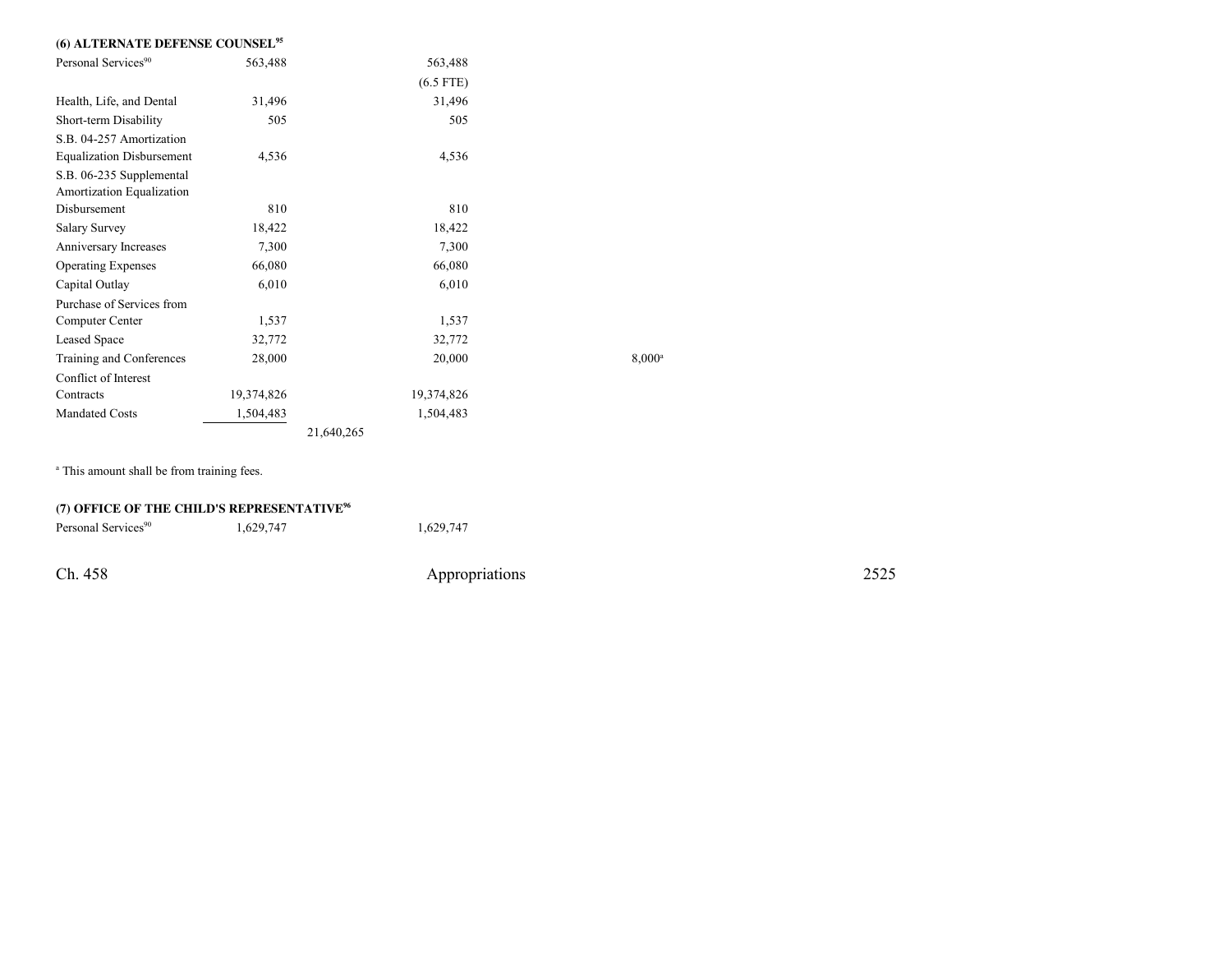| (6) ALTERNATE DEFENSE COUNSEL <sup>95</sup>           |            |             |                 |
|-------------------------------------------------------|------------|-------------|-----------------|
| Personal Services <sup>90</sup>                       | 563,488    | 563,488     |                 |
|                                                       |            | $(6.5$ FTE) |                 |
| Health, Life, and Dental                              | 31,496     | 31,496      |                 |
| Short-term Disability                                 | 505        | 505         |                 |
| S.B. 04-257 Amortization                              |            |             |                 |
| <b>Equalization Disbursement</b>                      | 4,536      | 4,536       |                 |
| S.B. 06-235 Supplemental<br>Amortization Equalization |            |             |                 |
| Disbursement                                          | 810        | 810         |                 |
| Salary Survey                                         | 18,422     | 18,422      |                 |
| Anniversary Increases                                 | 7,300      | 7,300       |                 |
| <b>Operating Expenses</b>                             | 66,080     | 66,080      |                 |
| Capital Outlay                                        | 6,010      | 6,010       |                 |
| Purchase of Services from                             |            |             |                 |
| Computer Center                                       | 1,537      | 1,537       |                 |
| Leased Space                                          | 32,772     | 32,772      |                 |
| Training and Conferences                              | 28,000     | 20,000      | $8,000^{\circ}$ |
| Conflict of Interest                                  |            |             |                 |
| Contracts                                             | 19,374,826 | 19,374,826  |                 |
| <b>Mandated Costs</b>                                 | 1,504,483  | 1,504,483   |                 |
|                                                       |            | 21,640,265  |                 |

<sup>a</sup> This amount shall be from training fees.

| (7) OFFICE OF THE CHILD'S REPRESENTATIVE <sup>96</sup> |           |                |      |  |  |  |
|--------------------------------------------------------|-----------|----------------|------|--|--|--|
| Personal Services <sup>90</sup>                        | 1.629.747 | 1.629.747      |      |  |  |  |
|                                                        |           |                |      |  |  |  |
| Ch. 458                                                |           | Appropriations | 2525 |  |  |  |
|                                                        |           |                |      |  |  |  |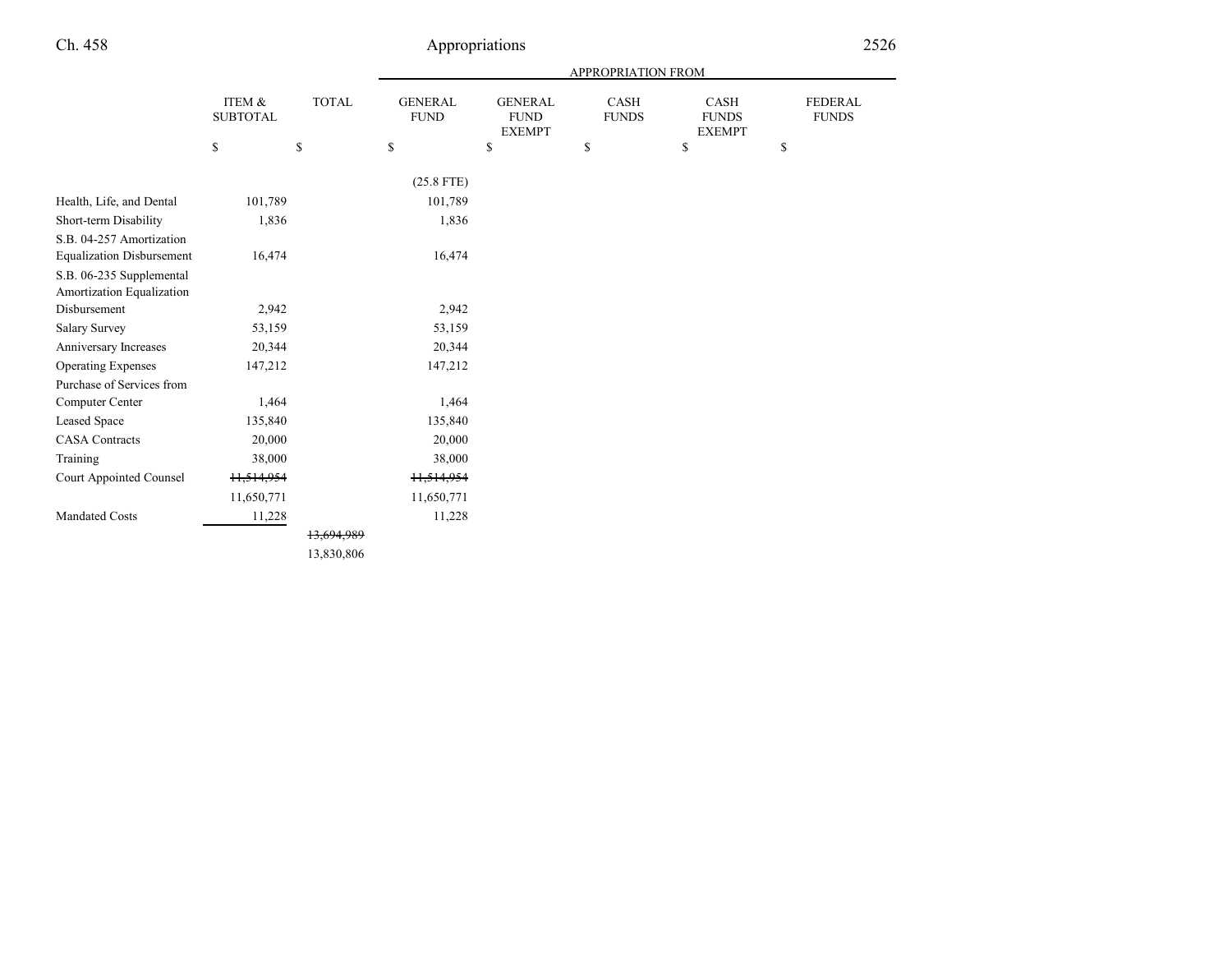|                                  |                                      |                             |                                             |                                                | APPROPRIATION FROM          |                                              |                                |
|----------------------------------|--------------------------------------|-----------------------------|---------------------------------------------|------------------------------------------------|-----------------------------|----------------------------------------------|--------------------------------|
|                                  | <b>ITEM &amp;</b><br><b>SUBTOTAL</b> | $\ensuremath{\text{TOTAL}}$ | <b>GENERAL</b><br><b>FUND</b>               | <b>GENERAL</b><br><b>FUND</b><br><b>EXEMPT</b> | <b>CASH</b><br><b>FUNDS</b> | <b>CASH</b><br><b>FUNDS</b><br><b>EXEMPT</b> | <b>FEDERAL</b><br><b>FUNDS</b> |
|                                  | \$                                   | $\mathbb{S}$                | $\mathbb{S}% _{n}^{X\rightarrow\mathbb{R}}$ | \$                                             | \$                          | \$                                           | $\mathbb{S}$                   |
|                                  |                                      |                             | $(25.8$ FTE)                                |                                                |                             |                                              |                                |
| Health, Life, and Dental         | 101,789                              |                             | 101,789                                     |                                                |                             |                                              |                                |
| Short-term Disability            | 1,836                                |                             | 1,836                                       |                                                |                             |                                              |                                |
| S.B. 04-257 Amortization         |                                      |                             |                                             |                                                |                             |                                              |                                |
| <b>Equalization Disbursement</b> | 16,474                               |                             | 16,474                                      |                                                |                             |                                              |                                |
| S.B. 06-235 Supplemental         |                                      |                             |                                             |                                                |                             |                                              |                                |
| Amortization Equalization        |                                      |                             |                                             |                                                |                             |                                              |                                |
| Disbursement                     | 2,942                                |                             | 2,942                                       |                                                |                             |                                              |                                |
| Salary Survey                    | 53,159                               |                             | 53,159                                      |                                                |                             |                                              |                                |
| Anniversary Increases            | 20,344                               |                             | 20,344                                      |                                                |                             |                                              |                                |
| <b>Operating Expenses</b>        | 147,212                              |                             | 147,212                                     |                                                |                             |                                              |                                |
| Purchase of Services from        |                                      |                             |                                             |                                                |                             |                                              |                                |
| Computer Center                  | 1,464                                |                             | 1,464                                       |                                                |                             |                                              |                                |
| <b>Leased Space</b>              | 135,840                              |                             | 135,840                                     |                                                |                             |                                              |                                |
| <b>CASA</b> Contracts            | 20,000                               |                             | 20,000                                      |                                                |                             |                                              |                                |
| Training                         | 38,000                               |                             | 38,000                                      |                                                |                             |                                              |                                |
| Court Appointed Counsel          | H <sub>5</sub> 14,954                |                             | 11,514,954                                  |                                                |                             |                                              |                                |
|                                  | 11,650,771                           |                             | 11,650,771                                  |                                                |                             |                                              |                                |
| <b>Mandated Costs</b>            | 11,228                               |                             | 11,228                                      |                                                |                             |                                              |                                |
|                                  |                                      | 13,694,989                  |                                             |                                                |                             |                                              |                                |
|                                  |                                      | 13,830,806                  |                                             |                                                |                             |                                              |                                |

and a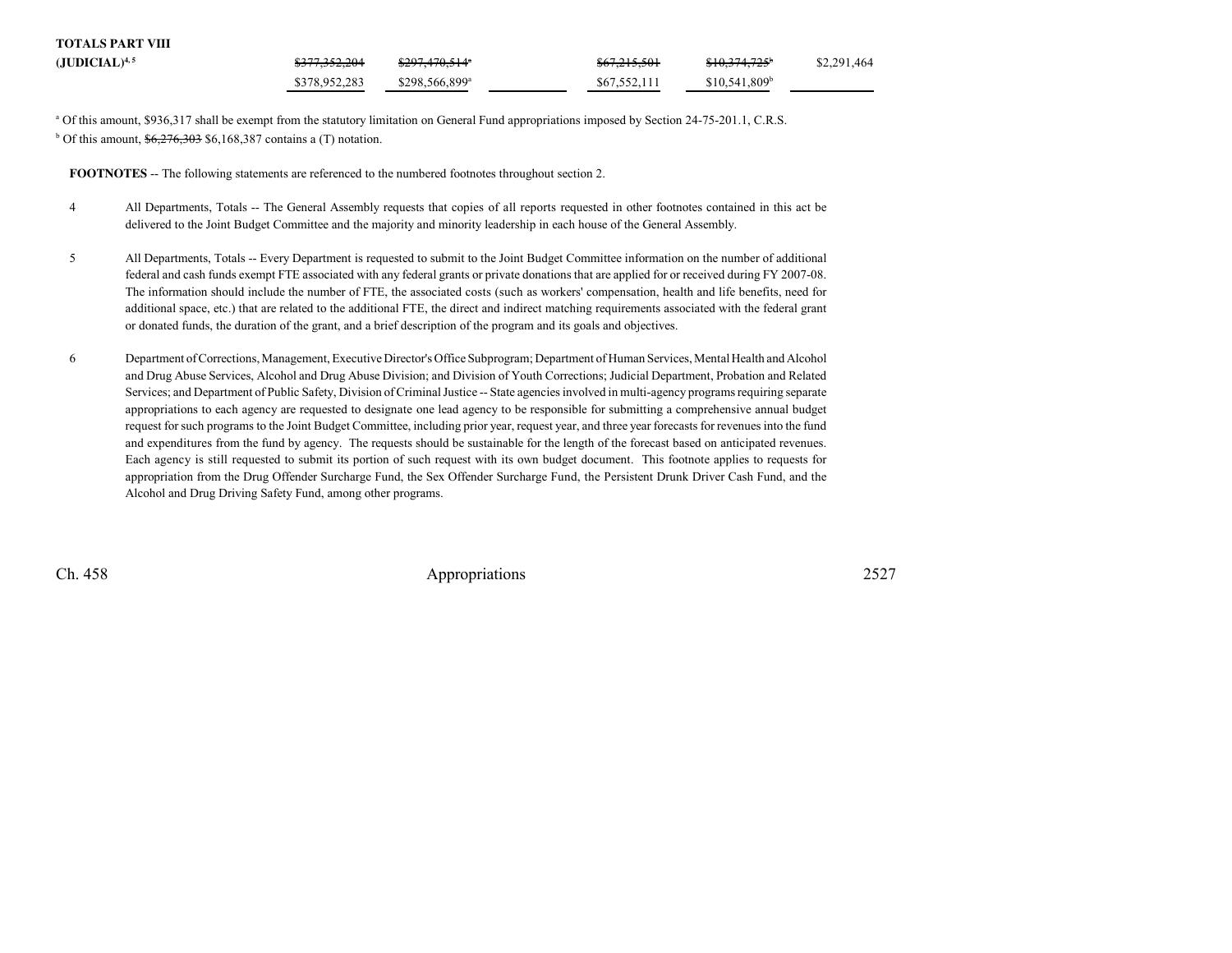| <b>TOTALS PART VIII</b> |                          |                            |              |                            |             |
|-------------------------|--------------------------|----------------------------|--------------|----------------------------|-------------|
| $(JUDICIAL)^{4,5}$      | <del>\$377,352,204</del> | \$297,470,514"             | \$67,215,501 | $$10,374,725$ <sup>b</sup> | \$2,291,464 |
|                         | \$378,952,283            | \$298.566.899 <sup>a</sup> | \$67.552.111 | \$10.541.809 <sup>b</sup>  |             |

<sup>a</sup> Of this amount, \$936,317 shall be exempt from the statutory limitation on General Fund appropriations imposed by Section 24-75-201.1, C.R.S.  $b$  Of this amount,  $\frac{6,276,303}{6}$  \$6,168,387 contains a (T) notation.

**FOOTNOTES** -- The following statements are referenced to the numbered footnotes throughout section 2.

- <sup>4</sup> All Departments, Totals -- The General Assembly requests that copies of all reports requested in other footnotes contained in this act be delivered to the Joint Budget Committee and the majority and minority leadership in each house of the General Assembly.
- <sup>5</sup> All Departments, Totals -- Every Department is requested to submit to the Joint Budget Committee information on the number of additional federal and cash funds exempt FTE associated with any federal grants or private donations that are applied for or received during FY 2007-08. The information should include the number of FTE, the associated costs (such as workers' compensation, health and life benefits, need for additional space, etc.) that are related to the additional FTE, the direct and indirect matching requirements associated with the federal grantor donated funds, the duration of the grant, and a brief description of the program and its goals and objectives.
- <sup>6</sup> Department of Corrections, Management, Executive Director's Office Subprogram; Department of Human Services, Mental Health and Alcohol and Drug Abuse Services, Alcohol and Drug Abuse Division; and Division of Youth Corrections; Judicial Department, Probation and Related Services; and Department of Public Safety, Division of Criminal Justice -- State agencies involved in multi-agency programs requiring separate appropriations to each agency are requested to designate one lead agency to be responsible for submitting a comprehensive annual budgetrequest for such programs to the Joint Budget Committee, including prior year, request year, and three year forecasts for revenues into the fund and expenditures from the fund by agency. The requests should be sustainable for the length of the forecast based on anticipated revenues. Each agency is still requested to submit its portion of such request with its own budget document. This footnote applies to requests for appropriation from the Drug Offender Surcharge Fund, the Sex Offender Surcharge Fund, the Persistent Drunk Driver Cash Fund, and theAlcohol and Drug Driving Safety Fund, among other programs.

Ch. 458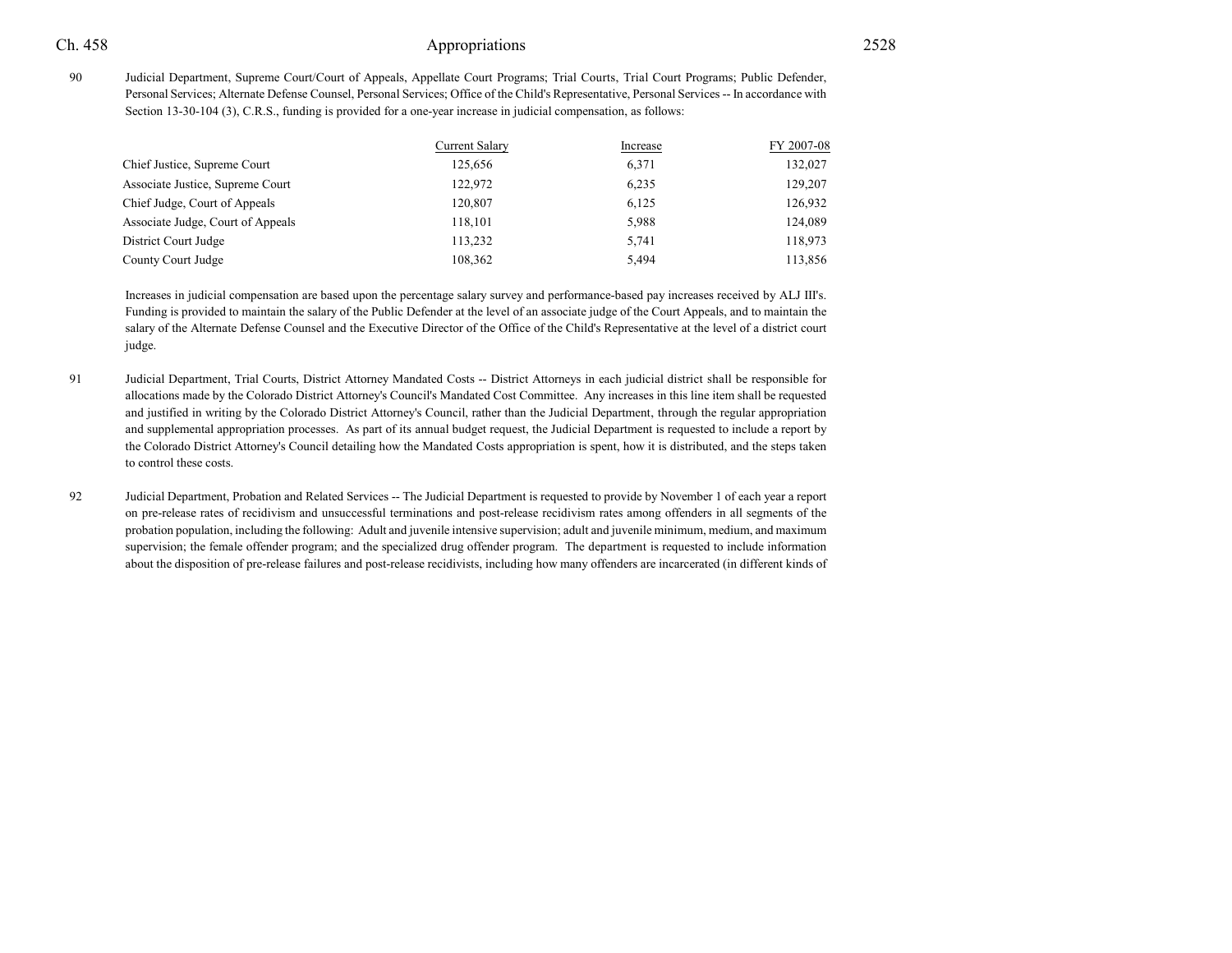<sup>90</sup> Judicial Department, Supreme Court/Court of Appeals, Appellate Court Programs; Trial Courts, Trial Court Programs; Public Defender, Personal Services; Alternate Defense Counsel, Personal Services; Office of the Child's Representative, Personal Services -- In accordance withSection 13-30-104 (3), C.R.S., funding is provided for a one-year increase in judicial compensation, as follows:

|                                   | Current Salary | Increase | FY 2007-08 |
|-----------------------------------|----------------|----------|------------|
| Chief Justice, Supreme Court      | 125,656        | 6,371    | 132,027    |
| Associate Justice, Supreme Court  | 122,972        | 6,235    | 129,207    |
| Chief Judge, Court of Appeals     | 120,807        | 6,125    | 126,932    |
| Associate Judge, Court of Appeals | 118,101        | 5,988    | 124,089    |
| District Court Judge              | 113,232        | 5,741    | 118,973    |
| County Court Judge                | 108,362        | 5,494    | 113,856    |
|                                   |                |          |            |

Increases in judicial compensation are based upon the percentage salary survey and performance-based pay increases received by ALJ III's.Funding is provided to maintain the salary of the Public Defender at the level of an associate judge of the Court Appeals, and to maintain the salary of the Alternate Defense Counsel and the Executive Director of the Office of the Child's Representative at the level of a district courtjudge.

- <sup>91</sup> Judicial Department, Trial Courts, District Attorney Mandated Costs -- District Attorneys in each judicial district shall be responsible for allocations made by the Colorado District Attorney's Council's Mandated Cost Committee. Any increases in this line item shall be requested and justified in writing by the Colorado District Attorney's Council, rather than the Judicial Department, through the regular appropriation and supplemental appropriation processes. As part of its annual budget request, the Judicial Department is requested to include a report by the Colorado District Attorney's Council detailing how the Mandated Costs appropriation is spent, how it is distributed, and the steps takento control these costs.
- <sup>92</sup> Judicial Department, Probation and Related Services -- The Judicial Department is requested to provide by November 1 of each year a report on pre-release rates of recidivism and unsuccessful terminations and post-release recidivism rates among offenders in all segments of the probation population, including the following: Adult and juvenile intensive supervision; adult and juvenile minimum, medium, and maximum supervision; the female offender program; and the specialized drug offender program. The department is requested to include informationabout the disposition of pre-release failures and post-release recidivists, including how many offenders are incarcerated (in different kinds of